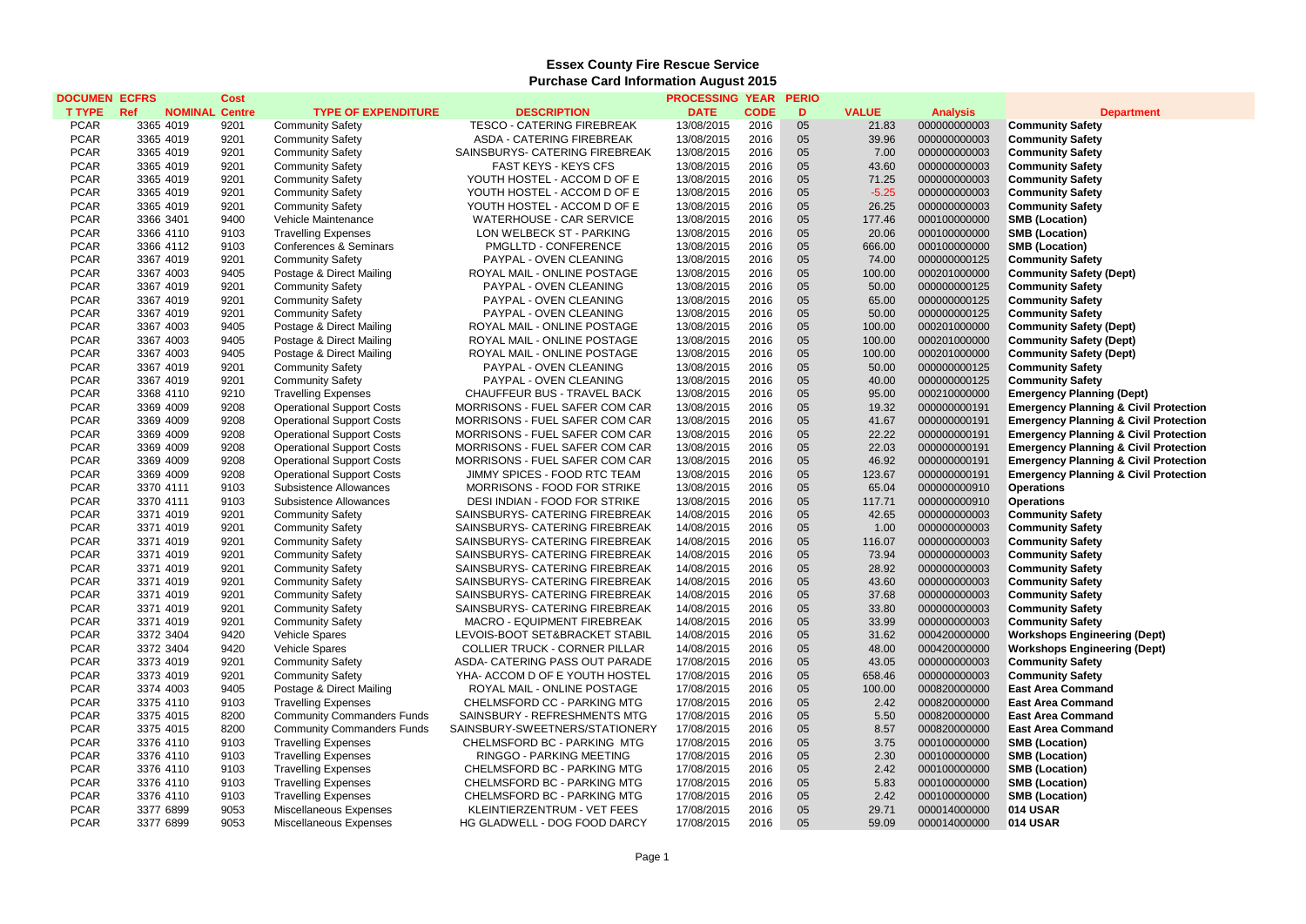## **Essex County Fire Rescue Service Purchase Card Information August 2015**

| <b>DOCUMEN ECFRS</b>       |                              | <b>Cost</b>  |                                   |                                                                  | <b>PROCESSING YEAR</b>   |              | <b>PERIO</b> |                |                              |                                                  |
|----------------------------|------------------------------|--------------|-----------------------------------|------------------------------------------------------------------|--------------------------|--------------|--------------|----------------|------------------------------|--------------------------------------------------|
| <b>T TYPE</b>              | Ref<br><b>NOMINAL Centre</b> |              | <b>TYPE OF EXPENDITURE</b>        | <b>DESCRIPTION</b>                                               | <b>DATE</b>              | <b>CODE</b>  | D            | <b>VALUE</b>   | <b>Analysis</b>              | <b>Department</b>                                |
| <b>PCAR</b>                | 3365 4019                    | 9201         | <b>Community Safety</b>           | <b>TESCO - CATERING FIREBREAK</b>                                | 13/08/2015               | 2016         | 05           | 21.83          | 000000000003                 | <b>Community Safety</b>                          |
| <b>PCAR</b>                | 3365 4019                    | 9201         | <b>Community Safety</b>           | ASDA - CATERING FIREBREAK                                        | 13/08/2015               | 2016         | 05           | 39.96          | 000000000003                 | <b>Community Safety</b>                          |
| <b>PCAR</b>                | 3365 4019                    | 9201         | <b>Community Safety</b>           | SAINSBURYS- CATERING FIREBREAK                                   | 13/08/2015               | 2016         | 05           | 7.00           | 000000000003                 | <b>Community Safety</b>                          |
| <b>PCAR</b>                | 3365 4019                    | 9201         | <b>Community Safety</b>           | <b>FAST KEYS - KEYS CFS</b>                                      | 13/08/2015               | 2016         | 05           | 43.60          | 000000000003                 | <b>Community Safety</b>                          |
| <b>PCAR</b>                | 3365 4019                    | 9201         | <b>Community Safety</b>           | YOUTH HOSTEL - ACCOM D OF E                                      | 13/08/2015               | 2016         | 05           | 71.25          | 000000000003                 | <b>Community Safety</b>                          |
| <b>PCAR</b>                | 3365 4019                    | 9201         | <b>Community Safety</b>           | YOUTH HOSTEL - ACCOM D OF E                                      | 13/08/2015               | 2016         | 05           | $-5.25$        | 000000000003                 | <b>Community Safety</b>                          |
| <b>PCAR</b>                | 3365 4019                    | 9201         | <b>Community Safety</b>           | YOUTH HOSTEL - ACCOM D OF E                                      | 13/08/2015               | 2016         | 05           | 26.25          | 000000000003                 | <b>Community Safety</b>                          |
| <b>PCAR</b>                | 3366 3401                    | 9400         | Vehicle Maintenance               | <b>WATERHOUSE - CAR SERVICE</b>                                  | 13/08/2015               | 2016         | 05           | 177.46         | 000100000000                 | <b>SMB (Location)</b>                            |
| <b>PCAR</b>                | 3366 4110                    | 9103         | <b>Travelling Expenses</b>        | LON WELBECK ST - PARKING                                         | 13/08/2015               | 2016         | 05           | 20.06          | 000100000000                 | <b>SMB (Location)</b>                            |
| <b>PCAR</b>                | 3366 4112                    | 9103         | Conferences & Seminars            | PMGLLTD - CONFERENCE                                             | 13/08/2015               | 2016         | 05           | 666.00         | 000100000000                 | <b>SMB (Location)</b>                            |
| <b>PCAR</b>                | 3367 4019                    | 9201         | <b>Community Safety</b>           | PAYPAL - OVEN CLEANING                                           | 13/08/2015               | 2016         | 05           | 74.00          | 000000000125                 | <b>Community Safety</b>                          |
| <b>PCAR</b>                | 3367 4003                    | 9405         | Postage & Direct Mailing          | ROYAL MAIL - ONLINE POSTAGE                                      | 13/08/2015               | 2016         | 05           | 100.00         | 000201000000                 | <b>Community Safety (Dept)</b>                   |
| <b>PCAR</b>                | 3367 4019                    | 9201         | <b>Community Safety</b>           | PAYPAL - OVEN CLEANING                                           | 13/08/2015               | 2016         | 05           | 50.00          | 000000000125                 | <b>Community Safety</b>                          |
| <b>PCAR</b>                | 3367 4019                    | 9201         | <b>Community Safety</b>           | PAYPAL - OVEN CLEANING                                           | 13/08/2015               | 2016         | 05           | 65.00          | 000000000125                 | <b>Community Safety</b>                          |
| <b>PCAR</b>                | 3367 4019                    | 9201         | <b>Community Safety</b>           | PAYPAL - OVEN CLEANING                                           | 13/08/2015               | 2016         | 05           | 50.00          | 000000000125                 | <b>Community Safety</b>                          |
| <b>PCAR</b>                | 3367 4003                    | 9405         | Postage & Direct Mailing          | ROYAL MAIL - ONLINE POSTAGE                                      | 13/08/2015               | 2016         | 05           | 100.00         | 000201000000                 | <b>Community Safety (Dept)</b>                   |
| <b>PCAR</b>                | 3367 4003                    | 9405         | Postage & Direct Mailing          | ROYAL MAIL - ONLINE POSTAGE                                      | 13/08/2015               | 2016         | 05           | 100.00         | 000201000000                 | <b>Community Safety (Dept)</b>                   |
| <b>PCAR</b>                | 3367 4003                    | 9405         | Postage & Direct Mailing          | ROYAL MAIL - ONLINE POSTAGE                                      | 13/08/2015               | 2016         | 05           | 100.00         | 000201000000                 | <b>Community Safety (Dept)</b>                   |
| <b>PCAR</b>                | 3367 4019                    | 9201         | <b>Community Safety</b>           | PAYPAL - OVEN CLEANING                                           | 13/08/2015               | 2016         | 05           | 50.00          | 000000000125                 | <b>Community Safety</b>                          |
| <b>PCAR</b>                | 3367 4019                    | 9201         | <b>Community Safety</b>           | PAYPAL - OVEN CLEANING                                           | 13/08/2015               | 2016         | 05           | 40.00          | 000000000125                 | <b>Community Safety</b>                          |
| <b>PCAR</b>                | 3368 4110                    | 9210         | <b>Travelling Expenses</b>        | CHAUFFEUR BUS - TRAVEL BACK                                      | 13/08/2015               | 2016         | 05           | 95.00          | 000210000000                 | <b>Emergency Planning (Dept)</b>                 |
| <b>PCAR</b>                | 3369 4009                    | 9208         | <b>Operational Support Costs</b>  | MORRISONS - FUEL SAFER COM CAR                                   | 13/08/2015               | 2016         | 05           | 19.32          | 000000000191                 | <b>Emergency Planning &amp; Civil Protection</b> |
| <b>PCAR</b>                | 3369 4009                    | 9208         | <b>Operational Support Costs</b>  | MORRISONS - FUEL SAFER COM CAR                                   | 13/08/2015               | 2016         | 05           | 41.67          | 000000000191                 | <b>Emergency Planning &amp; Civil Protection</b> |
| <b>PCAR</b>                | 3369 4009                    | 9208         | <b>Operational Support Costs</b>  | MORRISONS - FUEL SAFER COM CAR                                   | 13/08/2015               | 2016         | 05           | 22.22          | 000000000191                 | <b>Emergency Planning &amp; Civil Protection</b> |
|                            |                              |              |                                   |                                                                  |                          |              | 05           |                |                              |                                                  |
| <b>PCAR</b><br><b>PCAR</b> | 3369 4009<br>3369 4009       | 9208<br>9208 | <b>Operational Support Costs</b>  | MORRISONS - FUEL SAFER COM CAR<br>MORRISONS - FUEL SAFER COM CAR | 13/08/2015<br>13/08/2015 | 2016<br>2016 | 05           | 22.03<br>46.92 | 000000000191<br>000000000191 | <b>Emergency Planning &amp; Civil Protection</b> |
| <b>PCAR</b>                |                              | 9208         | <b>Operational Support Costs</b>  | JIMMY SPICES - FOOD RTC TEAM                                     | 13/08/2015               | 2016         | 05           | 123.67         | 000000000191                 | <b>Emergency Planning &amp; Civil Protection</b> |
|                            | 3369 4009                    |              | <b>Operational Support Costs</b>  |                                                                  |                          |              |              |                |                              | <b>Emergency Planning &amp; Civil Protection</b> |
| <b>PCAR</b>                | 3370 4111                    | 9103         | Subsistence Allowances            | MORRISONS - FOOD FOR STRIKE                                      | 13/08/2015               | 2016         | 05<br>05     | 65.04          | 000000000910                 | <b>Operations</b>                                |
| <b>PCAR</b>                | 3370 4111                    | 9103         | Subsistence Allowances            | DESI INDIAN - FOOD FOR STRIKE                                    | 13/08/2015               | 2016         |              | 117.71         | 000000000910                 | <b>Operations</b>                                |
| <b>PCAR</b>                | 3371 4019                    | 9201         | <b>Community Safety</b>           | SAINSBURYS- CATERING FIREBREAK                                   | 14/08/2015               | 2016         | 05           | 42.65          | 000000000003                 | <b>Community Safety</b>                          |
| <b>PCAR</b>                | 3371 4019                    | 9201         | <b>Community Safety</b>           | SAINSBURYS- CATERING FIREBREAK                                   | 14/08/2015               | 2016         | 05           | 1.00           | 000000000003                 | <b>Community Safety</b>                          |
| <b>PCAR</b>                | 3371 4019                    | 9201         | <b>Community Safety</b>           | SAINSBURYS- CATERING FIREBREAK                                   | 14/08/2015               | 2016         | 05           | 116.07         | 000000000003                 | <b>Community Safety</b>                          |
| <b>PCAR</b>                | 3371 4019                    | 9201         | <b>Community Safety</b>           | SAINSBURYS- CATERING FIREBREAK                                   | 14/08/2015               | 2016         | 05           | 73.94          | 000000000003                 | <b>Community Safety</b>                          |
| <b>PCAR</b>                | 3371 4019                    | 9201         | <b>Community Safety</b>           | SAINSBURYS- CATERING FIREBREAK                                   | 14/08/2015               | 2016         | 05           | 28.92          | 000000000003                 | <b>Community Safety</b>                          |
| <b>PCAR</b>                | 3371 4019                    | 9201         | <b>Community Safety</b>           | SAINSBURYS- CATERING FIREBREAK                                   | 14/08/2015               | 2016         | 05           | 43.60          | 000000000003                 | <b>Community Safety</b>                          |
| <b>PCAR</b>                | 3371 4019                    | 9201         | <b>Community Safety</b>           | SAINSBURYS- CATERING FIREBREAK                                   | 14/08/2015               | 2016         | 05           | 37.68          | 000000000003                 | <b>Community Safety</b>                          |
| <b>PCAR</b>                | 3371 4019                    | 9201         | <b>Community Safety</b>           | SAINSBURYS- CATERING FIREBREAK                                   | 14/08/2015               | 2016         | 05           | 33.80          | 000000000003                 | <b>Community Safety</b>                          |
| <b>PCAR</b>                | 3371 4019                    | 9201         | <b>Community Safety</b>           | MACRO - EQUIPMENT FIREBREAK                                      | 14/08/2015               | 2016         | 05           | 33.99          | 000000000003                 | <b>Community Safety</b>                          |
| <b>PCAR</b>                | 3372 3404                    | 9420         | Vehicle Spares                    | LEVOIS-BOOT SET&BRACKET STABIL                                   | 14/08/2015               | 2016         | 05           | 31.62          | 000420000000                 | <b>Workshops Engineering (Dept)</b>              |
| <b>PCAR</b>                | 3372 3404                    | 9420         | <b>Vehicle Spares</b>             | <b>COLLIER TRUCK - CORNER PILLAR</b>                             | 14/08/2015               | 2016         | 05           | 48.00          | 000420000000                 | <b>Workshops Engineering (Dept)</b>              |
| <b>PCAR</b>                | 3373 4019                    | 9201         | <b>Community Safety</b>           | ASDA- CATERING PASS OUT PARADE                                   | 17/08/2015               | 2016         | 05           | 43.05          | 000000000003                 | <b>Community Safety</b>                          |
| <b>PCAR</b>                | 3373 4019                    | 9201         | <b>Community Safety</b>           | YHA- ACCOM D OF E YOUTH HOSTEL                                   | 17/08/2015               | 2016         | 05           | 658.46         | 000000000003                 | <b>Community Safety</b>                          |
| <b>PCAR</b>                | 3374 4003                    | 9405         | Postage & Direct Mailing          | ROYAL MAIL - ONLINE POSTAGE                                      | 17/08/2015               | 2016         | 05           | 100.00         | 000820000000                 | <b>East Area Command</b>                         |
| <b>PCAR</b>                | 3375 4110                    | 9103         | <b>Travelling Expenses</b>        | CHELMSFORD CC - PARKING MTG                                      | 17/08/2015               | 2016         | 05           | 2.42           | 000820000000                 | <b>East Area Command</b>                         |
| <b>PCAR</b>                | 3375 4015                    | 8200         | <b>Community Commanders Funds</b> | SAINSBURY - REFRESHMENTS MTG                                     | 17/08/2015               | 2016         | 05           | 5.50           | 000820000000                 | <b>East Area Command</b>                         |
| <b>PCAR</b>                | 3375 4015                    | 8200         | <b>Community Commanders Funds</b> | SAINSBURY-SWEETNERS/STATIONERY                                   | 17/08/2015               | 2016         | 05           | 8.57           | 000820000000                 | <b>East Area Command</b>                         |
| <b>PCAR</b>                | 3376 4110                    | 9103         | <b>Travelling Expenses</b>        | CHELMSFORD BC - PARKING MTG                                      | 17/08/2015               | 2016         | 05           | 3.75           | 000100000000                 | <b>SMB (Location)</b>                            |
| <b>PCAR</b>                | 3376 4110                    | 9103         | <b>Travelling Expenses</b>        | RINGGO - PARKING MEETING                                         | 17/08/2015               | 2016         | 05           | 2.30           | 000100000000                 | <b>SMB (Location)</b>                            |
| <b>PCAR</b>                | 3376 4110                    | 9103         | <b>Travelling Expenses</b>        | CHELMSFORD BC - PARKING MTG                                      | 17/08/2015               | 2016         | 05           | 2.42           | 000100000000                 | <b>SMB (Location)</b>                            |
| <b>PCAR</b>                | 3376 4110                    | 9103         | <b>Travelling Expenses</b>        | CHELMSFORD BC - PARKING MTG                                      | 17/08/2015               | 2016         | 05           | 5.83           | 000100000000                 | <b>SMB (Location)</b>                            |
| <b>PCAR</b>                | 3376 4110                    | 9103         | <b>Travelling Expenses</b>        | CHELMSFORD BC - PARKING MTG                                      | 17/08/2015               | 2016         | 05           | 2.42           | 000100000000                 | <b>SMB (Location)</b>                            |
| <b>PCAR</b>                | 3377 6899                    | 9053         | Miscellaneous Expenses            | KLEINTIERZENTRUM - VET FEES                                      | 17/08/2015               | 2016         | 05           | 29.71          | 000014000000                 | 014 USAR                                         |
| <b>PCAR</b>                | 3377 6899                    | 9053         | Miscellaneous Expenses            | HG GLADWELL - DOG FOOD DARCY                                     | 17/08/2015               | 2016         | 05           | 59.09          | 000014000000                 | <b>014 USAR</b>                                  |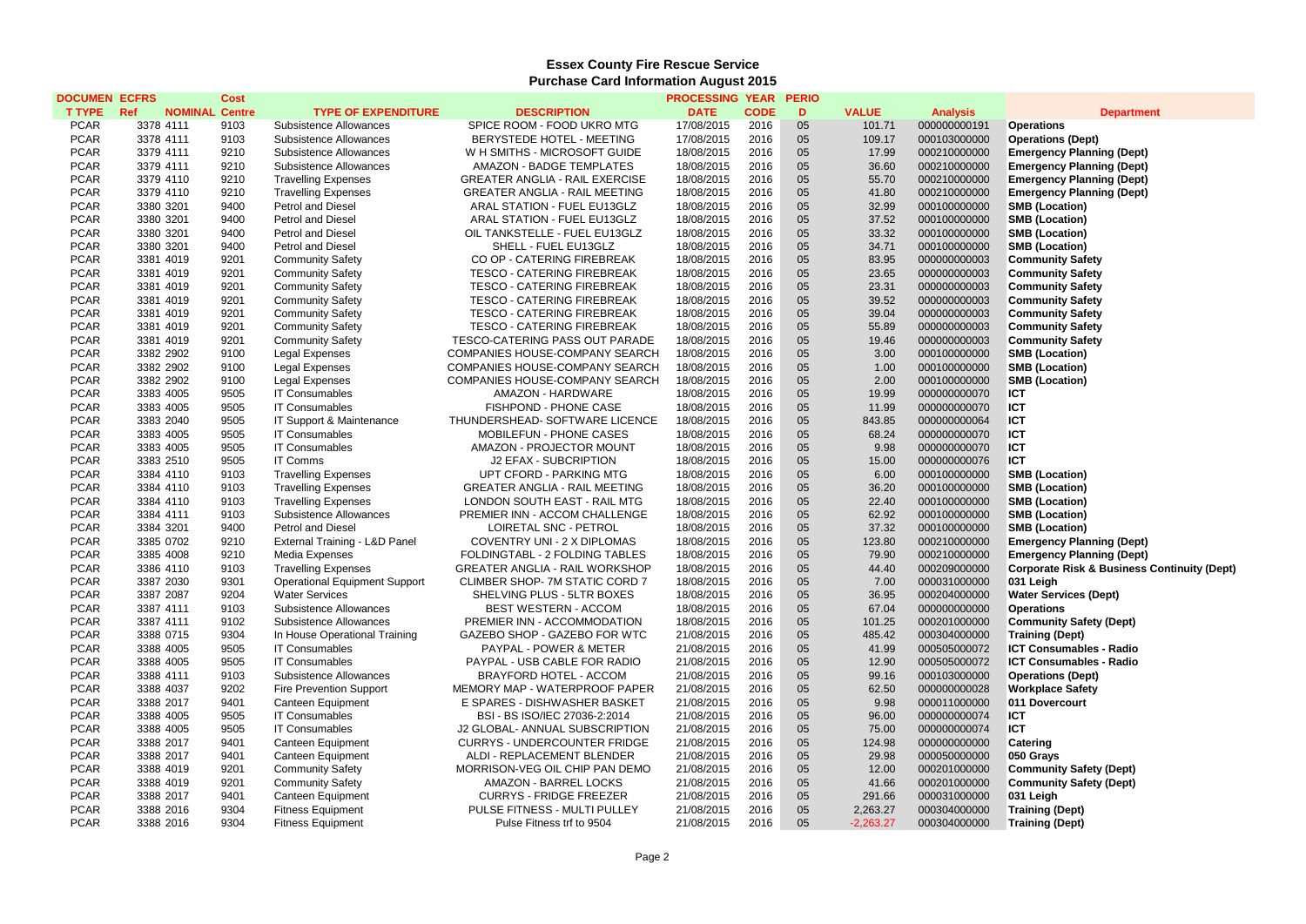## **Essex County Fire Rescue Service Purchase Card Information August 2015**

| <b>DOCUMEN ECFRS</b> |                              | Cost |                                      |                                       | <b>PROCESSING YEAR</b> |             | <b>PERIO</b> |              |                 |                                                        |
|----------------------|------------------------------|------|--------------------------------------|---------------------------------------|------------------------|-------------|--------------|--------------|-----------------|--------------------------------------------------------|
| <b>T TYPE</b>        | Ref<br><b>NOMINAL Centre</b> |      | <b>TYPE OF EXPENDITURE</b>           | <b>DESCRIPTION</b>                    | <b>DATE</b>            | <b>CODE</b> | D            | <b>VALUE</b> | <b>Analysis</b> | <b>Department</b>                                      |
| <b>PCAR</b>          | 3378 4111                    | 9103 | Subsistence Allowances               | SPICE ROOM - FOOD UKRO MTG            | 17/08/2015             | 2016        | 05           | 101.71       | 000000000191    | <b>Operations</b>                                      |
| <b>PCAR</b>          | 3378 4111                    | 9103 | Subsistence Allowances               | BERYSTEDE HOTEL - MEETING             | 17/08/2015             | 2016        | 05           | 109.17       | 000103000000    | <b>Operations (Dept)</b>                               |
| <b>PCAR</b>          | 3379 4111                    | 9210 | Subsistence Allowances               | W H SMITHS - MICROSOFT GUIDE          | 18/08/2015             | 2016        | 05           | 17.99        | 000210000000    | <b>Emergency Planning (Dept)</b>                       |
| <b>PCAR</b>          | 3379 4111                    | 9210 | Subsistence Allowances               | AMAZON - BADGE TEMPLATES              | 18/08/2015             | 2016        | 05           | 36.60        | 000210000000    | <b>Emergency Planning (Dept)</b>                       |
| <b>PCAR</b>          | 3379 4110                    | 9210 | <b>Travelling Expenses</b>           | <b>GREATER ANGLIA - RAIL EXERCISE</b> | 18/08/2015             | 2016        | 05           | 55.70        | 000210000000    | <b>Emergency Planning (Dept)</b>                       |
| <b>PCAR</b>          | 3379 4110                    | 9210 | <b>Travelling Expenses</b>           | <b>GREATER ANGLIA - RAIL MEETING</b>  | 18/08/2015             | 2016        | 05           | 41.80        | 000210000000    | <b>Emergency Planning (Dept)</b>                       |
| <b>PCAR</b>          | 3380 3201                    | 9400 | <b>Petrol and Diesel</b>             | ARAL STATION - FUEL EU13GLZ           | 18/08/2015             | 2016        | 05           | 32.99        | 000100000000    | <b>SMB (Location)</b>                                  |
| <b>PCAR</b>          | 3380 3201                    | 9400 | <b>Petrol and Diesel</b>             | ARAL STATION - FUEL EU13GLZ           | 18/08/2015             | 2016        | 05           | 37.52        | 000100000000    | <b>SMB (Location)</b>                                  |
| <b>PCAR</b>          | 3380 3201                    | 9400 | <b>Petrol and Diesel</b>             | OIL TANKSTELLE - FUEL EU13GLZ         | 18/08/2015             | 2016        | 05           | 33.32        | 000100000000    | <b>SMB (Location)</b>                                  |
| <b>PCAR</b>          | 3380 3201                    | 9400 | <b>Petrol and Diesel</b>             | SHELL - FUEL EU13GLZ                  | 18/08/2015             | 2016        | 05           | 34.71        | 000100000000    | <b>SMB (Location)</b>                                  |
| <b>PCAR</b>          | 3381 4019                    | 9201 | <b>Community Safety</b>              | CO OP - CATERING FIREBREAK            | 18/08/2015             | 2016        | 05           | 83.95        | 000000000003    | <b>Community Safety</b>                                |
| <b>PCAR</b>          | 3381 4019                    | 9201 | <b>Community Safety</b>              | TESCO - CATERING FIREBREAK            | 18/08/2015             | 2016        | 05           | 23.65        | 000000000003    | <b>Community Safety</b>                                |
| <b>PCAR</b>          | 3381 4019                    | 9201 | <b>Community Safety</b>              | <b>TESCO - CATERING FIREBREAK</b>     | 18/08/2015             | 2016        | 05           | 23.31        | 000000000003    | <b>Community Safety</b>                                |
| <b>PCAR</b>          | 3381 4019                    | 9201 | <b>Community Safety</b>              | <b>TESCO - CATERING FIREBREAK</b>     | 18/08/2015             | 2016        | 05           | 39.52        | 000000000003    | <b>Community Safety</b>                                |
| <b>PCAR</b>          | 3381 4019                    | 9201 | <b>Community Safety</b>              | <b>TESCO - CATERING FIREBREAK</b>     | 18/08/2015             | 2016        | 05           | 39.04        | 000000000003    | <b>Community Safety</b>                                |
| <b>PCAR</b>          | 3381 4019                    | 9201 | <b>Community Safety</b>              | <b>TESCO - CATERING FIREBREAK</b>     | 18/08/2015             | 2016        | 05           | 55.89        | 000000000003    | <b>Community Safety</b>                                |
| <b>PCAR</b>          | 3381 4019                    | 9201 | <b>Community Safety</b>              | TESCO-CATERING PASS OUT PARADE        | 18/08/2015             | 2016        | 05           | 19.46        | 000000000003    | <b>Community Safety</b>                                |
| <b>PCAR</b>          | 3382 2902                    | 9100 | <b>Legal Expenses</b>                | COMPANIES HOUSE-COMPANY SEARCH        | 18/08/2015             | 2016        | 05           | 3.00         | 000100000000    | <b>SMB (Location)</b>                                  |
| <b>PCAR</b>          | 3382 2902                    | 9100 | <b>Legal Expenses</b>                | COMPANIES HOUSE-COMPANY SEARCH        | 18/08/2015             | 2016        | 05           | 1.00         | 000100000000    | <b>SMB (Location)</b>                                  |
| <b>PCAR</b>          | 3382 2902                    | 9100 | <b>Legal Expenses</b>                | COMPANIES HOUSE-COMPANY SEARCH        | 18/08/2015             | 2016        | 05           | 2.00         | 000100000000    | <b>SMB (Location)</b>                                  |
| <b>PCAR</b>          | 3383 4005                    | 9505 | <b>IT Consumables</b>                | AMAZON - HARDWARE                     | 18/08/2015             | 2016        | 05           | 19.99        | 000000000070    | <b>ICT</b>                                             |
| <b>PCAR</b>          | 3383 4005                    | 9505 | <b>IT Consumables</b>                | FISHPOND - PHONE CASE                 | 18/08/2015             | 2016        | 05           | 11.99        | 000000000070    | <b>ICT</b>                                             |
| <b>PCAR</b>          | 3383 2040                    | 9505 | IT Support & Maintenance             | THUNDERSHEAD-SOFTWARE LICENCE         | 18/08/2015             | 2016        | 05           | 843.85       | 000000000064    | <b>ICT</b>                                             |
|                      |                              | 9505 |                                      |                                       |                        | 2016        |              |              |                 | <b>ICT</b>                                             |
| <b>PCAR</b>          | 3383 4005                    |      | <b>IT Consumables</b>                | MOBILEFUN - PHONE CASES               | 18/08/2015             |             | 05           | 68.24        | 000000000070    |                                                        |
| <b>PCAR</b>          | 3383 4005                    | 9505 | <b>IT Consumables</b>                | AMAZON - PROJECTOR MOUNT              | 18/08/2015             | 2016        | 05           | 9.98         | 000000000070    | <b>ICT</b>                                             |
| <b>PCAR</b>          | 3383 2510                    | 9505 | <b>IT Comms</b>                      | J2 EFAX - SUBCRIPTION                 | 18/08/2015             | 2016        | 05           | 15.00        | 000000000076    | <b>ICT</b>                                             |
| <b>PCAR</b>          | 3384 4110                    | 9103 | <b>Travelling Expenses</b>           | UPT CFORD - PARKING MTG               | 18/08/2015             | 2016        | 05           | 6.00         | 000100000000    | <b>SMB (Location)</b>                                  |
| <b>PCAR</b>          | 3384 4110                    | 9103 | <b>Travelling Expenses</b>           | <b>GREATER ANGLIA - RAIL MEETING</b>  | 18/08/2015             | 2016        | 05           | 36.20        | 000100000000    | <b>SMB (Location)</b>                                  |
| <b>PCAR</b>          | 3384 4110                    | 9103 | <b>Travelling Expenses</b>           | LONDON SOUTH EAST - RAIL MTG          | 18/08/2015             | 2016        | 05           | 22.40        | 000100000000    | <b>SMB (Location)</b>                                  |
| <b>PCAR</b>          | 3384 4111                    | 9103 | Subsistence Allowances               | PREMIER INN - ACCOM CHALLENGE         | 18/08/2015             | 2016        | 05           | 62.92        | 000100000000    | <b>SMB (Location)</b>                                  |
| <b>PCAR</b>          | 3384 3201                    | 9400 | <b>Petrol and Diesel</b>             | LOIRETAL SNC - PETROL                 | 18/08/2015             | 2016        | 05           | 37.32        | 000100000000    | <b>SMB (Location)</b>                                  |
| <b>PCAR</b>          | 3385 0702                    | 9210 | External Training - L&D Panel        | COVENTRY UNI - 2 X DIPLOMAS           | 18/08/2015             | 2016        | 05           | 123.80       | 000210000000    | <b>Emergency Planning (Dept)</b>                       |
| <b>PCAR</b>          | 3385 4008                    | 9210 | Media Expenses                       | FOLDINGTABL - 2 FOLDING TABLES        | 18/08/2015             | 2016        | 05           | 79.90        | 000210000000    | <b>Emergency Planning (Dept)</b>                       |
| <b>PCAR</b>          | 3386 4110                    | 9103 | <b>Travelling Expenses</b>           | <b>GREATER ANGLIA - RAIL WORKSHOP</b> | 18/08/2015             | 2016        | 05           | 44.40        | 000209000000    | <b>Corporate Risk &amp; Business Continuity (Dept)</b> |
| <b>PCAR</b>          | 3387 2030                    | 9301 | <b>Operational Equipment Support</b> | CLIMBER SHOP- 7M STATIC CORD 7        | 18/08/2015             | 2016        | 05           | 7.00         | 000031000000    | 031 Leigh                                              |
| <b>PCAR</b>          | 3387 2087                    | 9204 | <b>Water Services</b>                | SHELVING PLUS - 5LTR BOXES            | 18/08/2015             | 2016        | 05           | 36.95        | 000204000000    | <b>Water Services (Dept)</b>                           |
| <b>PCAR</b>          | 3387 4111                    | 9103 | Subsistence Allowances               | <b>BEST WESTERN - ACCOM</b>           | 18/08/2015             | 2016        | 05           | 67.04        | 000000000000    | <b>Operations</b>                                      |
| <b>PCAR</b>          | 3387 4111                    | 9102 | Subsistence Allowances               | PREMIER INN - ACCOMMODATION           | 18/08/2015             | 2016        | 05           | 101.25       | 000201000000    | <b>Community Safety (Dept)</b>                         |
| <b>PCAR</b>          | 3388 0715                    | 9304 | In House Operational Training        | GAZEBO SHOP - GAZEBO FOR WTC          | 21/08/2015             | 2016        | 05           | 485.42       | 000304000000    | <b>Training (Dept)</b>                                 |
| <b>PCAR</b>          | 3388 4005                    | 9505 | <b>IT Consumables</b>                | PAYPAL - POWER & METER                | 21/08/2015             | 2016        | 05           | 41.99        | 000505000072    | <b>ICT Consumables - Radio</b>                         |
| <b>PCAR</b>          | 3388 4005                    | 9505 | <b>IT Consumables</b>                | PAYPAL - USB CABLE FOR RADIO          | 21/08/2015             | 2016        | 05           | 12.90        | 000505000072    | <b>ICT Consumables - Radio</b>                         |
| <b>PCAR</b>          | 3388 4111                    | 9103 | Subsistence Allowances               | <b>BRAYFORD HOTEL - ACCOM</b>         | 21/08/2015             | 2016        | 05           | 99.16        | 000103000000    | <b>Operations (Dept)</b>                               |
| <b>PCAR</b>          | 3388 4037                    | 9202 | <b>Fire Prevention Support</b>       | MEMORY MAP - WATERPROOF PAPER         | 21/08/2015             | 2016        | 05           | 62.50        | 000000000028    | <b>Workplace Safety</b>                                |
| <b>PCAR</b>          | 3388 2017                    | 9401 | Canteen Equipment                    | E SPARES - DISHWASHER BASKET          | 21/08/2015             | 2016        | 05           | 9.98         | 000011000000    | 011 Dovercourt                                         |
| <b>PCAR</b>          | 3388 4005                    | 9505 | <b>IT Consumables</b>                | BSI - BS ISO/IEC 27036-2:2014         | 21/08/2015             | 2016        | 05           | 96.00        | 000000000074    | <b>ICT</b>                                             |
| <b>PCAR</b>          | 3388 4005                    | 9505 | <b>IT Consumables</b>                | J2 GLOBAL- ANNUAL SUBSCRIPTION        | 21/08/2015             | 2016        | 05           | 75.00        | 000000000074    | <b>ICT</b>                                             |
| <b>PCAR</b>          | 3388 2017                    | 9401 | Canteen Equipment                    | <b>CURRYS - UNDERCOUNTER FRIDGE</b>   | 21/08/2015             | 2016        | 05           | 124.98       | 000000000000    | Catering                                               |
| <b>PCAR</b>          | 3388 2017                    | 9401 | Canteen Equipment                    | ALDI - REPLACEMENT BLENDER            | 21/08/2015             | 2016        | 05           | 29.98        | 000050000000    | 050 Grays                                              |
| <b>PCAR</b>          | 3388 4019                    | 9201 | <b>Community Safety</b>              | MORRISON-VEG OIL CHIP PAN DEMO        | 21/08/2015             | 2016        | 05           | 12.00        | 000201000000    | <b>Community Safety (Dept)</b>                         |
| <b>PCAR</b>          | 3388 4019                    | 9201 | <b>Community Safety</b>              | AMAZON - BARREL LOCKS                 | 21/08/2015             | 2016        | 05           | 41.66        | 000201000000    | <b>Community Safety (Dept)</b>                         |
| <b>PCAR</b>          | 3388 2017                    | 9401 | Canteen Equipment                    | <b>CURRYS - FRIDGE FREEZER</b>        | 21/08/2015             | 2016        | 05           | 291.66       | 000031000000    | 031 Leigh                                              |
| <b>PCAR</b>          | 3388 2016                    | 9304 | <b>Fitness Equipment</b>             | PULSE FITNESS - MULTI PULLEY          | 21/08/2015             | 2016        | 05           | 2,263.27     | 000304000000    | <b>Training (Dept)</b>                                 |
| <b>PCAR</b>          | 3388 2016                    | 9304 | <b>Fitness Equipment</b>             | Pulse Fitness trf to 9504             | 21/08/2015             | 2016        | 05           | $-2,263.27$  | 000304000000    | <b>Training (Dept)</b>                                 |